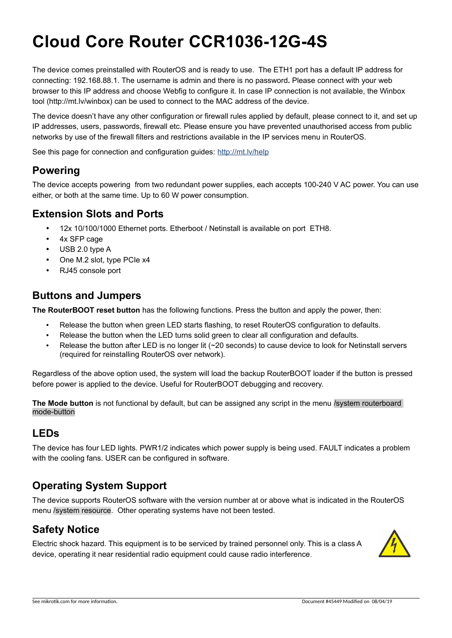# **Cloud Core Router CCR1036-12G-4S**

The device comes preinstalled with RouterOS and is ready to use. The ETH1 port has a default IP address for connecting: 192.168.88.1. The username is admin and there is no password**.** Please connect with your web browser to this IP address and choose Webfig to configure it. In case IP connection is not available, the Winbox tool (http://mt.lv/winbox) can be used to connect to the MAC address of the device.

The device doesn't have any other configuration or firewall rules applied by default, please connect to it, and set up IP addresses, users, passwords, firewall etc. Please ensure you have prevented unauthorised access from public networks by use of the firewall filters and restrictions available in the IP services menu in RouterOS.

See this page for connection and configuration guides: http://mt.lv/help

#### **Powering**

The device accepts powering from two redundant power supplies, each accepts 100-240 V AC power. You can use either, or both at the same time. Up to 60 W power consumption.

#### **Extension Slots and Ports**

- 12x 10/100/1000 Ethernet ports. Etherboot / Netinstall is available on port ETH8.
- 4x SFP cage
- USB 2.0 type A
- One M.2 slot, type PCIe x4
- RJ45 console port

#### **Buttons and Jumpers**

**The RouterBOOT reset button** has the following functions. Press the button and apply the power, then:

- Release the button when green LED starts flashing, to reset RouterOS configuration to defaults.
- Release the button when the LED turns solid green to clear all configuration and defaults.
- Release the button after LED is no longer lit (~20 seconds) to cause device to look for Netinstall servers (required for reinstalling RouterOS over network).

Regardless of the above option used, the system will load the backup RouterBOOT loader if the button is pressed before power is applied to the device. Useful for RouterBOOT debugging and recovery.

**The Mode button** is not functional by default, but can be assigned any script in the menu /system routerboard mode-button

#### **LEDs**

The device has four LED lights. PWR1/2 indicates which power supply is being used. FAULT indicates a problem with the cooling fans. USER can be configured in software.

### **Operating System Support**

The device supports RouterOS software with the version number at or above what is indicated in the RouterOS menu /system resource. Other operating systems have not been tested.

#### **Safety Notice**

Electric shock hazard. This equipment is to be serviced by trained personnel only. This is a class A device, operating it near residential radio equipment could cause radio interference.

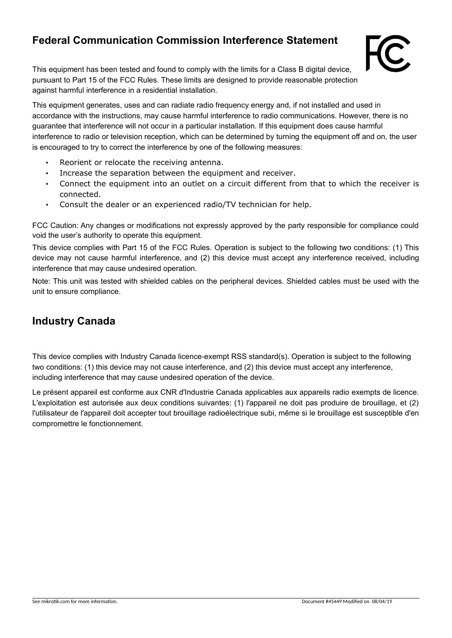## **Federal Communication Commission Interference Statement**



This equipment has been tested and found to comply with the limits for a Class B digital device, pursuant to Part 15 of the FCC Rules. These limits are designed to provide reasonable protection against harmful interference in a residential installation.

This equipment generates, uses and can radiate radio frequency energy and, if not installed and used in accordance with the instructions, may cause harmful interference to radio communications. However, there is no guarantee that interference will not occur in a particular installation. If this equipment does cause harmful interference to radio or television reception, which can be determined by turning the equipment off and on, the user is encouraged to try to correct the interference by one of the following measures:

- Reorient or relocate the receiving antenna.
- Increase the separation between the equipment and receiver.
- Connect the equipment into an outlet on a circuit different from that to which the receiver is connected.
- Consult the dealer or an experienced radio/TV technician for help.

FCC Caution: Any changes or modifications not expressly approved by the party responsible for compliance could void the user's authority to operate this equipment.

This device complies with Part 15 of the FCC Rules. Operation is subject to the following two conditions: (1) This device may not cause harmful interference, and (2) this device must accept any interference received, including interference that may cause undesired operation.

Note: This unit was tested with shielded cables on the peripheral devices. Shielded cables must be used with the unit to ensure compliance.

#### **Industry Canada**

This device complies with Industry Canada licence-exempt RSS standard(s). Operation is subject to the following two conditions: (1) this device may not cause interference, and (2) this device must accept any interference, including interference that may cause undesired operation of the device.

Le présent appareil est conforme aux CNR d'Industrie Canada applicables aux appareils radio exempts de licence. L'exploitation est autorisée aux deux conditions suivantes: (1) l'appareil ne doit pas produire de brouillage, et (2) l'utilisateur de l'appareil doit accepter tout brouillage radioélectrique subi, même si le brouillage est susceptible d'en compromettre le fonctionnement.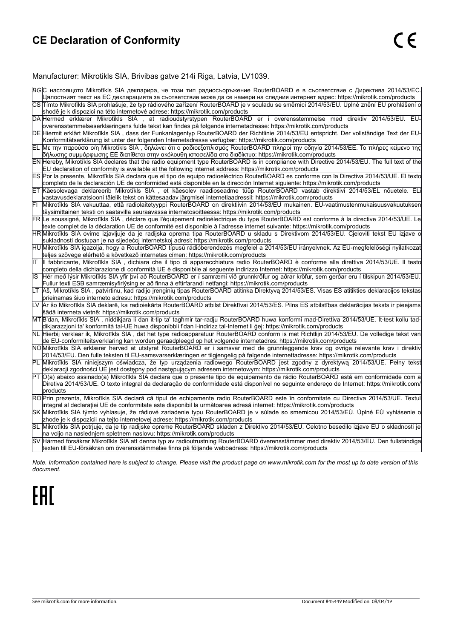## **CE Declaration of Conformity**

#### Manufacturer: Mikrotikls SIA, Brivibas gatve 214i Riga, Latvia, LV1039.

|     | BG С настоящото Mikrotīkls SIA декларира, че този тип радиосъоръжение RouterBOARD е в съответствие с Директива 2014/53/EC.<br>Цялостният текст на ЕС декларацията за съответствие може да се намери на следния интернет адрес: https://mikrotik.com/products                                    |
|-----|-------------------------------------------------------------------------------------------------------------------------------------------------------------------------------------------------------------------------------------------------------------------------------------------------|
|     | CS Tímto Mikrotīkls SIA prohlašuje, že typ rádiového zařízení RouterBOARD je v souladu se směrnicí 2014/53/EU. Úplné znění EU prohlášení o<br>shodě je k dispozici na této internetové adrese: https://mikrotik.com/products                                                                    |
|     | DA Hermed erklærer Mikrotīkls SIA, at radioudstyrstypen RouterBOARD er i overensstemmelse med direktiv 2014/53/EU. EU-<br>overensstemmelseserklæringens fulde tekst kan findes på følgende internetadresse: https://mikrotik.com/products                                                       |
|     | DE Hiermit erklärt Mikrotīkls SIA, dass der Funkanlagentyp RouterBOARD der Richtlinie 2014/53/EU entspricht. Der vollständige Text der EU-<br>Konformitätserklärung ist unter der folgenden Internetadresse verfügbar: https://mikrotik.com/products                                            |
|     | ΕL  Με την παρούσα ο/η Mikrotīkls SIA , δηλώνει ότι ο ραδιοεξοπλισμός RouterBOARD πληροί την οδηγία 2014/53/ΕΕ. Το πλήρες κείμενο της<br> δήλωσης συμμόρφωσης ΕΕ διατίθεται στην ακόλουθη ιστοσελίδα στο διαδίκτυο: https://mikrotik.com/products                                               |
|     | EN Hereby, Mikrotīkls SIA declares that the radio equipment type RouterBOARD is in compliance with Directive 2014/53/EU. The full text of the<br>EU declaration of conformity is available at the following internet address: https://mikrotik.com/products                                     |
|     | ES Por la presente, Mikrotīkls SIA declara que el tipo de equipo radioeléctrico RouterBOARD es conforme con la Directiva 2014/53/UE. El texto<br>completo de la declaración UE de conformidad está disponible en la dirección Internet siguiente: https://mikrotik.com/products                 |
|     | ET Käesolevaga deklareerib Mikrotīkls SIA, et käesolev raadioseadme tüüp RouterBOARD vastab direktiivi 2014/53/EL nõuetele. ELi<br>vastavusdeklaratsiooni täielik tekst on kättesaadav järgmisel internetiaadressil: https://mikrotik.com/products                                              |
| FI  | Mikrotīkls SIA vakuuttaa, että radiolaitetyyppi RouterBOARD on direktiivin 2014/53/EU mukainen. EU-vaatimustenmukaisuusvakuutuksen<br>täysimittainen teksti on saatavilla seuraavassa internetosoitteessa: https://mikrotik.com/products                                                        |
|     | FR Le soussigné, Mikrotīkls SIA, déclare que l'équipement radioélectrique du type RouterBOARD est conforme à la directive 2014/53/UE. Le<br>texte complet de la déclaration UE de conformité est disponible à l'adresse internet suivante: https://mikrotik.com/products                        |
|     | HR Mikrotīkls SIA ovime izjavljuje da je radijska oprema tipa RouterBOARD u skladu s Direktivom 2014/53/EU. Cjeloviti tekst EU izjave c<br>sukladnosti dostupan je na sljedećoj internetskoj adresi: https://mikrotik.com/products                                                              |
|     | HU Mikrotīkls SIA igazolja, hogy a RouterBOARD típusú rádióberendezés megfelel a 2014/53/EU irányelvnek. Az EU-megfelelőségi nyilatkozat<br>teljes szövege elérhető a következő internetes címen: https://mikrotik.com/products                                                                 |
| lΙT | Il fabbricante, Mikrotīkls SIA, dichiara che il tipo di apparecchiatura radio RouterBOARD è conforme alla direttiva 2014/53/UE. Il testo<br>completo della dichiarazione di conformità UE è disponibile al seguente indirizzo Internet: https://mikrotik.com/products                           |
| IS  | Hér með lýsir Mikrotīkls SIA yfir því að RouterBOARD er í samræmi við grunnkröfur og aðrar kröfur, sem gerðar eru í tilskipun 2014/53/EU.<br>Fullur texti ESB samræmisyfirlýsing er að finna á eftirfarandi netfangi: https://mikrotik.com/products                                             |
| LТ  | Aš, Mikrotīkls SIA, patvirtinu, kad radijo jrenginių tipas RouterBOARD atitinka Direktyvą 2014/53/ES. Visas ES atitikties deklaracijos tekstas<br>prieinamas šiuo interneto adresu: https://mikrotik.com/products                                                                               |
|     | LV Ar šo Mikrotīkls SIA deklarē, ka radioiekārta RouterBOARD atbilst Direktīvai 2014/53/ES. Pilns ES atbilstības deklarācijas teksts ir pieejams<br>šādā interneta vietnē: https://mikrotik.com/products                                                                                        |
|     | MT B'dan, Mikrotīkls SIA, niddikjara li dan it-tip ta' tagħmir tar-radju RouterBOARD huwa konformi mad-Direttiva 2014/53/UE. It-test kollu tad-<br>dikjarazzjoni ta' konformità tal-UE huwa disponibbli f'dan l-indirizz tal-Internet li ġej: https://mikrotik.com/products                     |
|     | NL Hierbij verklaar ik, Mikrotīkls SIA, dat het type radioapparatuur RouterBOARD conform is met Richtlijn 2014/53/EU. De volledige tekst van<br>de EU-conformiteitsverklaring kan worden geraadpleegd op het volgende internetadres: https://mikrotik.com/products                              |
|     | NOMikrotīkls SIA erklærer herved at utstyret RouterBOARD er i samsvar med de grunnleggende krav og øvrige relevante krav i direktiv<br>2014/53/EU. Den fulle teksten til EU-samsvarserklæringen er tilgjengelig på følgende internettadresse: https://mikrotik.com/products                     |
|     | PL Mikrotīkls SIA niniejszym oświadcza, że typ urzadzenia radiowego RouterBOARD jest zgodny z dyrektywa 2014/53/UE. Pełny tekst<br>deklaracji zgodności UE jest dostępny pod następującym adresem internetowym: https://mikrotik.com/products                                                   |
|     | PT O(a) abaixo assinado(a) Mikrotīkls SIA declara que o presente tipo de equipamento de rádio RouterBOARD está em conformidade com a<br>Diretiva 2014/53/UE. O texto integral da declaração de conformidade está disponível no seguinte endereço de Internet: https://mikrotik.com/<br>products |
|     | RO Prin prezenta, Mikrotīkls SIA declară că tipul de echipamente radio RouterBOARD este în conformitate cu Directiva 2014/53/UE. Textul<br>integral al declarației UE de conformitate este disponibil la următoarea adresă internet: https://mikrotik.com/products                              |
|     | SK Mikrotīkls SIA týmto vyhlasuje, že rádiové zariadenie typu RouterBOARD je v súlade so smernicou 2014/53/EU. Úplné EU vyhlásenie o<br>zhode je k dispozícii na tejto internetovej adrese: https://mikrotik.com/products                                                                       |
|     | SL Mikrotīkls SIA potrjuje, da je tip radijske opreme RouterBOARD skladen z Direktivo 2014/53/EU. Celotno besedilo izjave EU o skladnosti je<br>na voljo na naslednjem spletnem naslovu: https://mikrotik.com/products                                                                          |
|     | SV Härmed försäkrar Mikrotīkls SIA att denna typ av radioutrustning RouterBOARD överensstämmer med direktiv 2014/53/EU. Den fullständiga<br>texten till EU-försäkran om överensstämmelse finns på följande webbadress: https://mikrotik.com/products                                            |

*Note. Information contained here is subject to change. Please visit the product page on [www.mikrotik.com](http://www.mikrotik.com/) for the most up to date version of this document.*